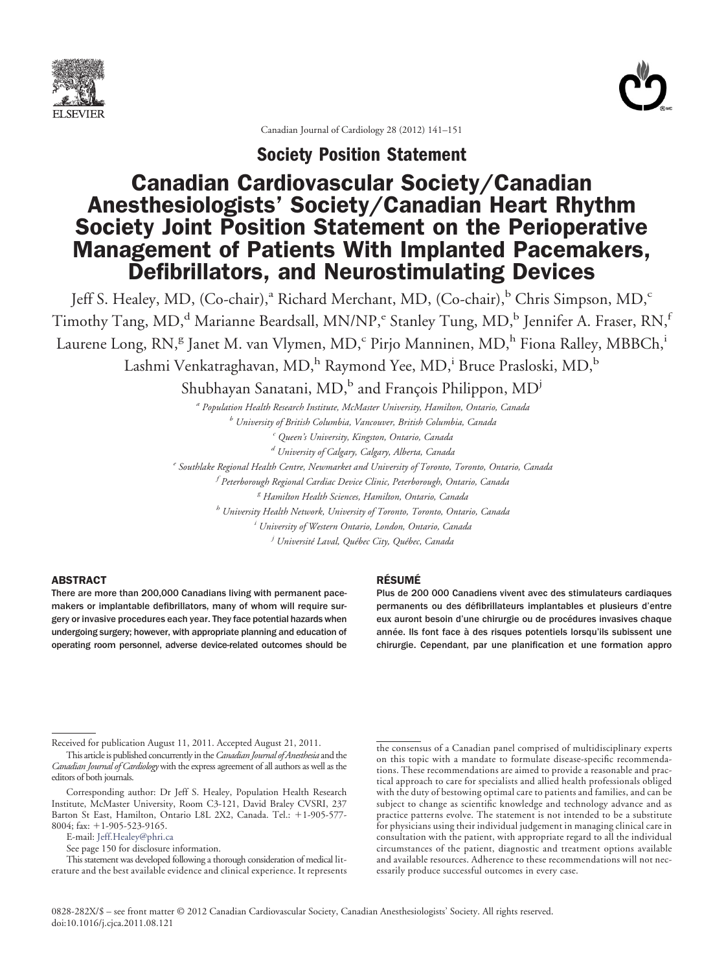



Canadian Journal of Cardiology 28 (2012) 141–151

**Society Position Statement**

# Canadian Cardiovascular Society/Canadian Anesthesiologists' Society/Canadian Heart Rhythm Society Joint Position Statement on the Perioperative Management of Patients With Implanted Pacemakers, Defibrillators, and Neurostimulating Devices

Jeff S. Healey, MD, (Co-chair),<sup>a</sup> Richard Merchant, MD, (Co-chair),<sup>b</sup> Chris Simpson, MD,<sup>c</sup> Timothy Tang, MD,<sup>d</sup> Marianne Beardsall, MN/NP,<sup>e</sup> Stanley Tung, MD,<sup>b</sup> Jennifer A. Fraser, RN,<sup>f</sup> Laurene Long, RN,<sup>g</sup> Janet M. van Vlymen, MD,<sup>c</sup> Pirjo Manninen, MD,<sup>h</sup> Fiona Ralley, MBBCh,<sup>i</sup> Lashmi Venkatraghavan, MD,<sup>h</sup> Raymond Yee, MD,<sup>i</sup> Bruce Prasloski, MD,<sup>b</sup>

Shubhayan Sanatani, MD,<sup>b</sup> and François Philippon, MD<sup>j</sup>

*<sup>a</sup> Population Health Research Institute, McMaster University, Hamilton, Ontario, Canada <sup>b</sup> University of British Columbia, Vancouver, British Columbia, Canada <sup>c</sup> Queen's University, Kingston, Ontario, Canada <sup>d</sup> University of Calgary, Calgary, Alberta, Canada*

*<sup>e</sup> Southlake Regional Health Centre, Newmarket and University of Toronto, Toronto, Ontario, Canada*

*f Peterborough Regional Cardiac Device Clinic, Peterborough, Ontario, Canada*

*<sup>g</sup> Hamilton Health Sciences, Hamilton, Ontario, Canada*

*<sup>h</sup> University Health Network, University of Toronto, Toronto, Ontario, Canada*

*i University of Western Ontario, London, Ontario, Canada*

*j Université Laval, Québec City, Québec, Canada*

## ABSTRACT

There are more than 200,000 Canadians living with permanent pacemakers or implantable defibrillators, many of whom will require surgery or invasive procedures each year. They face potential hazards when undergoing surgery; however, with appropriate planning and education of operating room personnel, adverse device-related outcomes should be

#### RÉSUMÉ

Plus de 200 000 Canadiens vivent avec des stimulateurs cardiaques permanents ou des défibrillateurs implantables et plusieurs d'entre eux auront besoin d'une chirurgie ou de procédures invasives chaque année. Ils font face à des risques potentiels lorsqu'ils subissent une chirurgie. Cependant, par une planification et une formation appro

Received for publication August 11, 2011. Accepted August 21, 2011.

E-mail: [Jeff.Healey@phri.ca](mailto:Jeff.Healey@phri.ca)

This statement was developed following a thorough consideration of medical literature and the best available evidence and clinical experience. It represents

This article is published concurrently in the*Canadian Journal of Anesthesia* and the *Canadian Journal of Cardiology* with the express agreement of all authors as well as the editors of both journals.

Corresponding author: Dr Jeff S. Healey, Population Health Research Institute, McMaster University, Room C3-121, David Braley CVSRI, 237 Barton St East, Hamilton, Ontario L8L 2X2, Canada. Tel.: +1-905-577-8004; fax: +1-905-523-9165.

See page 150 for disclosure information.

the consensus of a Canadian panel comprised of multidisciplinary experts on this topic with a mandate to formulate disease-specific recommendations. These recommendations are aimed to provide a reasonable and practical approach to care for specialists and allied health professionals obliged with the duty of bestowing optimal care to patients and families, and can be subject to change as scientific knowledge and technology advance and as practice patterns evolve. The statement is not intended to be a substitute for physicians using their individual judgement in managing clinical care in consultation with the patient, with appropriate regard to all the individual circumstances of the patient, diagnostic and treatment options available and available resources. Adherence to these recommendations will not necessarily produce successful outcomes in every case.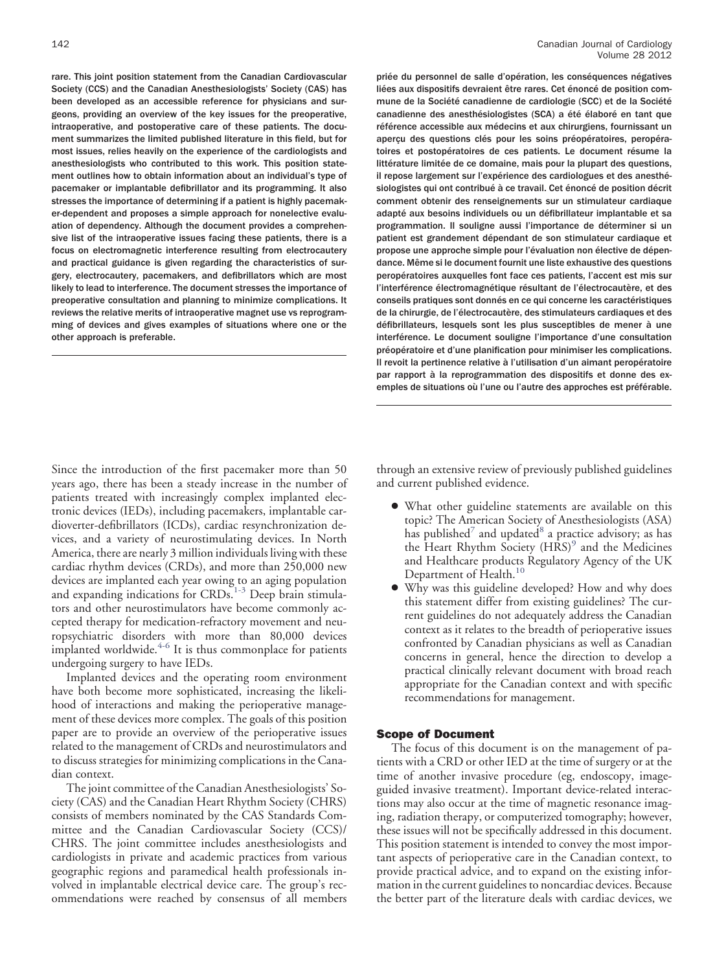rare. This joint position statement from the Canadian Cardiovascular Society (CCS) and the Canadian Anesthesiologists' Society (CAS) has been developed as an accessible reference for physicians and surgeons, providing an overview of the key issues for the preoperative, intraoperative, and postoperative care of these patients. The document summarizes the limited published literature in this field, but for most issues, relies heavily on the experience of the cardiologists and anesthesiologists who contributed to this work. This position statement outlines how to obtain information about an individual's type of pacemaker or implantable defibrillator and its programming. It also stresses the importance of determining if a patient is highly pacemaker-dependent and proposes a simple approach for nonelective evaluation of dependency. Although the document provides a comprehensive list of the intraoperative issues facing these patients, there is a focus on electromagnetic interference resulting from electrocautery and practical guidance is given regarding the characteristics of surgery, electrocautery, pacemakers, and defibrillators which are most likely to lead to interference. The document stresses the importance of preoperative consultation and planning to minimize complications. It reviews the relative merits of intraoperative magnet use vs reprogramming of devices and gives examples of situations where one or the other approach is preferable.

Since the introduction of the first pacemaker more than 50 years ago, there has been a steady increase in the number of patients treated with increasingly complex implanted electronic devices (IEDs), including pacemakers, implantable cardioverter-defibrillators (ICDs), cardiac resynchronization devices, and a variety of neurostimulating devices. In North America, there are nearly 3 million individuals living with these cardiac rhythm devices (CRDs), and more than 250,000 new devices are implanted each year owing to an aging population and expanding indications for CRDs.<sup>1-3</sup> Deep brain stimulators and other neurostimulators have become commonly accepted therapy for medication-refractory movement and neuropsychiatric disorders with more than 80,000 devices implanted worldwide. $4-6$  It is thus commonplace for patients undergoing surgery to have IEDs.

Implanted devices and the operating room environment have both become more sophisticated, increasing the likelihood of interactions and making the perioperative management of these devices more complex. The goals of this position paper are to provide an overview of the perioperative issues related to the management of CRDs and neurostimulators and to discuss strategies for minimizing complications in the Canadian context.

The joint committee of the Canadian Anesthesiologists' Society (CAS) and the Canadian Heart Rhythm Society (CHRS) consists of members nominated by the CAS Standards Committee and the Canadian Cardiovascular Society (CCS)/ CHRS. The joint committee includes anesthesiologists and cardiologists in private and academic practices from various geographic regions and paramedical health professionals involved in implantable electrical device care. The group's recommendations were reached by consensus of all members

priée du personnel de salle d'opération, les conséquences négatives liées aux dispositifs devraient être rares. Cet énoncé de position commune de la Société canadienne de cardiologie (SCC) et de la Société canadienne des anesthésiologistes (SCA) a été élaboré en tant que référence accessible aux médecins et aux chirurgiens, fournissant un aperçu des questions clés pour les soins préopératoires, peropératoires et postopératoires de ces patients. Le document résume la littérature limitée de ce domaine, mais pour la plupart des questions, il repose largement sur l'expérience des cardiologues et des anesthésiologistes qui ont contribué à ce travail. Cet énoncé de position décrit comment obtenir des renseignements sur un stimulateur cardiaque adapté aux besoins individuels ou un défibrillateur implantable et sa programmation. Il souligne aussi l'importance de déterminer si un patient est grandement dépendant de son stimulateur cardiaque et propose une approche simple pour l'évaluation non élective de dépendance. Même si le document fournit une liste exhaustive des questions peropératoires auxquelles font face ces patients, l'accent est mis sur l'interférence électromagnétique résultant de l'électrocautère, et des conseils pratiques sont donnés en ce qui concerne les caractéristiques de la chirurgie, de l'électrocautère, des stimulateurs cardiaques et des défibrillateurs, lesquels sont les plus susceptibles de mener à une interférence. Le document souligne l'importance d'une consultation préopératoire et d'une planification pour minimiser les complications. Il revoit la pertinence relative à l'utilisation d'un aimant peropératoire par rapport à la reprogrammation des dispositifs et donne des exemples de situations où l'une ou l'autre des approches est préférable.

through an extensive review of previously published guidelines and current published evidence.

- What other guideline statements are available on this topic? The American Society of Anesthesiologists (ASA) has published<sup> $\prime$ </sup> and updated<sup>8</sup> a practice advisory; as has the Heart Rhythm Society  $(HRS)^9$  and the Medicines and Healthcare products Regulatory Agency of the UK Department of Health.<sup>10</sup>
- Why was this guideline developed? How and why does this statement differ from existing guidelines? The current guidelines do not adequately address the Canadian context as it relates to the breadth of perioperative issues confronted by Canadian physicians as well as Canadian concerns in general, hence the direction to develop a practical clinically relevant document with broad reach appropriate for the Canadian context and with specific recommendations for management.

#### Scope of Document

The focus of this document is on the management of patients with a CRD or other IED at the time of surgery or at the time of another invasive procedure (eg, endoscopy, imageguided invasive treatment). Important device-related interactions may also occur at the time of magnetic resonance imaging, radiation therapy, or computerized tomography; however, these issues will not be specifically addressed in this document. This position statement is intended to convey the most important aspects of perioperative care in the Canadian context, to provide practical advice, and to expand on the existing information in the current guidelines to noncardiac devices. Because the better part of the literature deals with cardiac devices, we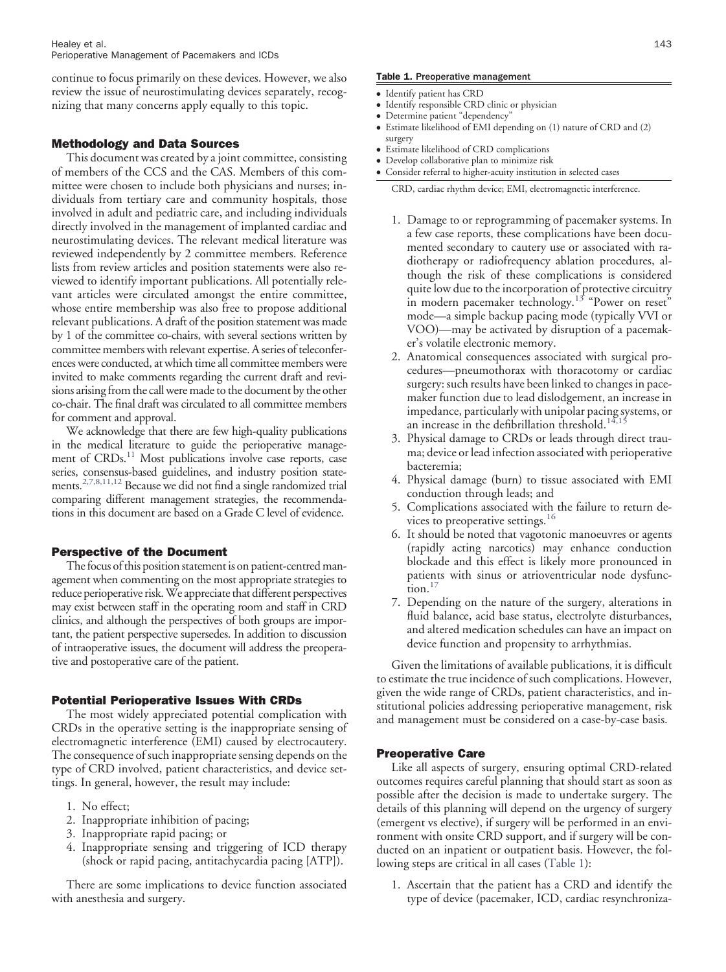continue to focus primarily on these devices. However, we also review the issue of neurostimulating devices separately, recognizing that many concerns apply equally to this topic.

## Methodology and Data Sources

This document was created by a joint committee, consisting of members of the CCS and the CAS. Members of this committee were chosen to include both physicians and nurses; individuals from tertiary care and community hospitals, those involved in adult and pediatric care, and including individuals directly involved in the management of implanted cardiac and neurostimulating devices. The relevant medical literature was reviewed independently by 2 committee members. Reference lists from review articles and position statements were also reviewed to identify important publications. All potentially relevant articles were circulated amongst the entire committee, whose entire membership was also free to propose additional relevant publications. A draft of the position statement was made by 1 of the committee co-chairs, with several sections written by committee members with relevant expertise. A series of teleconferences were conducted, at which time all committee members were invited to make comments regarding the current draft and revisions arising from the call were made to the document by the other co-chair. The final draft was circulated to all committee members for comment and approval.

We acknowledge that there are few high-quality publications in the medical literature to guide the perioperative management of CRDs.<sup>11</sup> Most publications involve case reports, case series, consensus-based guidelines, and industry position statements.<sup>2,7,8,11,12</sup> Because we did not find a single randomized trial comparing different management strategies, the recommendations in this document are based on a Grade C level of evidence.

# Perspective of the Document

The focus of this position statement is on patient-centred management when commenting on the most appropriate strategies to reduce perioperative risk. We appreciate that different perspectives may exist between staff in the operating room and staff in CRD clinics, and although the perspectives of both groups are important, the patient perspective supersedes. In addition to discussion of intraoperative issues, the document will address the preoperative and postoperative care of the patient.

#### Potential Perioperative Issues With CRDs

The most widely appreciated potential complication with CRDs in the operative setting is the inappropriate sensing of electromagnetic interference (EMI) caused by electrocautery. The consequence of such inappropriate sensing depends on the type of CRD involved, patient characteristics, and device settings. In general, however, the result may include:

- 1. No effect;
- 2. Inappropriate inhibition of pacing;
- 3. Inappropriate rapid pacing; or
- 4. Inappropriate sensing and triggering of ICD therapy (shock or rapid pacing, antitachycardia pacing [ATP]).

There are some implications to device function associated with anesthesia and surgery.

#### Table 1. Preoperative management

- Identify patient has CRD
- Identify responsible CRD clinic or physician
- Determine patient "dependency
- Estimate likelihood of EMI depending on (1) nature of CRD and (2) surgery
- Estimate likelihood of CRD complications
- Develop collaborative plan to minimize risk
- Consider referral to higher-acuity institution in selected cases

CRD, cardiac rhythm device; EMI, electromagnetic interference.

- 1. Damage to or reprogramming of pacemaker systems. In a few case reports, these complications have been documented secondary to cautery use or associated with radiotherapy or radiofrequency ablation procedures, although the risk of these complications is considered quite low due to the incorporation of protective circuitry in modern pacemaker technology.<sup>13</sup> "Power on reset" mode—a simple backup pacing mode (typically VVI or VOO)—may be activated by disruption of a pacemaker's volatile electronic memory.
- 2. Anatomical consequences associated with surgical procedures—pneumothorax with thoracotomy or cardiac surgery: such results have been linked to changes in pacemaker function due to lead dislodgement, an increase in impedance, particularly with unipolar pacing systems, or an increase in the defibrillation threshold.<sup>14</sup>
- 3. Physical damage to CRDs or leads through direct trauma; device or lead infection associated with perioperative bacteremia;
- 4. Physical damage (burn) to tissue associated with EMI conduction through leads; and
- 5. Complications associated with the failure to return devices to preoperative settings.<sup>16</sup>
- 6. It should be noted that vagotonic manoeuvres or agents (rapidly acting narcotics) may enhance conduction blockade and this effect is likely more pronounced in patients with sinus or atrioventricular node dysfunction.<sup>17</sup>
- 7. Depending on the nature of the surgery, alterations in fluid balance, acid base status, electrolyte disturbances, and altered medication schedules can have an impact on device function and propensity to arrhythmias.

Given the limitations of available publications, it is difficult to estimate the true incidence of such complications. However, given the wide range of CRDs, patient characteristics, and institutional policies addressing perioperative management, risk and management must be considered on a case-by-case basis.

#### Preoperative Care

Like all aspects of surgery, ensuring optimal CRD-related outcomes requires careful planning that should start as soon as possible after the decision is made to undertake surgery. The details of this planning will depend on the urgency of surgery (emergent vs elective), if surgery will be performed in an environment with onsite CRD support, and if surgery will be conducted on an inpatient or outpatient basis. However, the following steps are critical in all cases (Table 1):

1. Ascertain that the patient has a CRD and identify the type of device (pacemaker, ICD, cardiac resynchroniza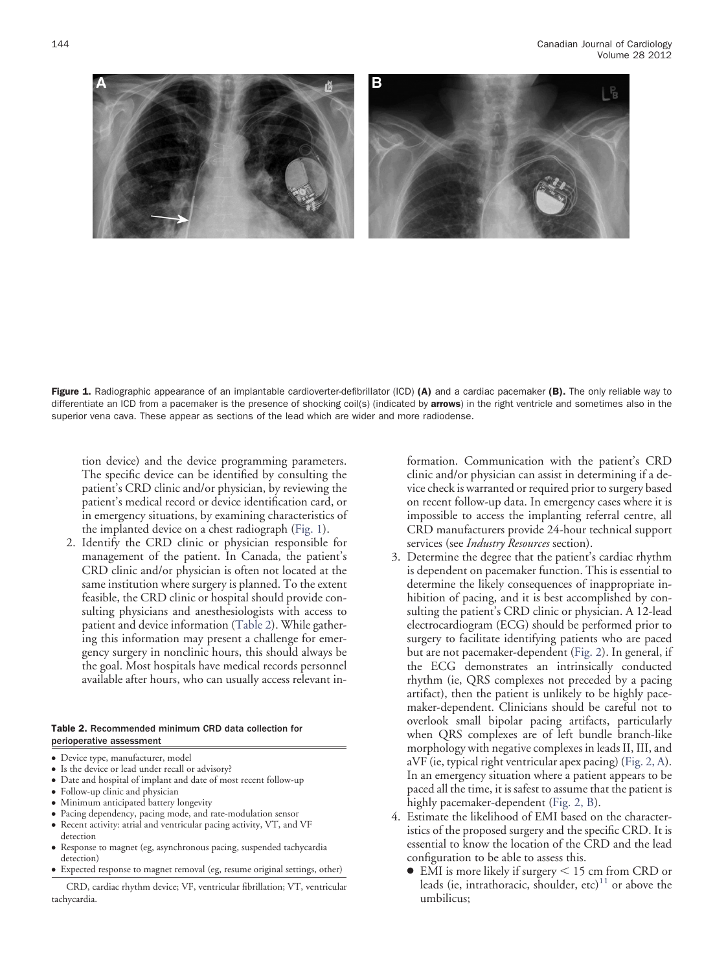Figure 1. Radiographic appearance of an implantable cardioverter-defibrillator (ICD) (A) and a cardiac pacemaker (B). The only reliable way to differentiate an ICD from a pacemaker is the presence of shocking coil(s) (indicated by **arrows**) in the right ventricle and sometimes also in the superior vena cava. These appear as sections of the lead which are wider and more radiodense.

tion device) and the device programming parameters. The specific device can be identified by consulting the patient's CRD clinic and/or physician, by reviewing the patient's medical record or device identification card, or in emergency situations, by examining characteristics of the implanted device on a chest radiograph (Fig. 1).

2. Identify the CRD clinic or physician responsible for management of the patient. In Canada, the patient's CRD clinic and/or physician is often not located at the same institution where surgery is planned. To the extent feasible, the CRD clinic or hospital should provide consulting physicians and anesthesiologists with access to patient and device information (Table 2). While gathering this information may present a challenge for emergency surgery in nonclinic hours, this should always be the goal. Most hospitals have medical records personnel available after hours, who can usually access relevant in-

#### Table 2. Recommended minimum CRD data collection for perioperative assessment

- Device type, manufacturer, model
- Is the device or lead under recall or advisory?
- Date and hospital of implant and date of most recent follow-up
- Follow-up clinic and physician
- Minimum anticipated battery longevity
- Pacing dependency, pacing mode, and rate-modulation sensor ● Recent activity: atrial and ventricular pacing activity, VT, and VF
- detection
- Response to magnet (eg, asynchronous pacing, suspended tachycardia detection)
- Expected response to magnet removal (eg, resume original settings, other)

CRD, cardiac rhythm device; VF, ventricular fibrillation; VT, ventricular tachycardia.

formation. Communication with the patient's CRD clinic and/or physician can assist in determining if a device check is warranted or required prior to surgery based on recent follow-up data. In emergency cases where it is impossible to access the implanting referral centre, all CRD manufacturers provide 24-hour technical support services (see *Industry Resources* section).

- 3. Determine the degree that the patient's cardiac rhythm is dependent on pacemaker function. This is essential to determine the likely consequences of inappropriate inhibition of pacing, and it is best accomplished by consulting the patient's CRD clinic or physician. A 12-lead electrocardiogram (ECG) should be performed prior to surgery to facilitate identifying patients who are paced but are not pacemaker-dependent (Fig. 2). In general, if the ECG demonstrates an intrinsically conducted rhythm (ie, QRS complexes not preceded by a pacing artifact), then the patient is unlikely to be highly pacemaker-dependent. Clinicians should be careful not to overlook small bipolar pacing artifacts, particularly when QRS complexes are of left bundle branch-like morphology with negative complexes in leads II, III, and aVF (ie, typical right ventricular apex pacing) (Fig. 2, A). In an emergency situation where a patient appears to be paced all the time, it is safest to assume that the patient is highly pacemaker-dependent (Fig. 2, B).
- 4. Estimate the likelihood of EMI based on the characteristics of the proposed surgery and the specific CRD. It is essential to know the location of the CRD and the lead configuration to be able to assess this.
	- $\bullet$  EMI is more likely if surgery  $\leq$  15 cm from CRD or leads (ie, intrathoracic, shoulder,  $etc)^{11}$  or above the umbilicus;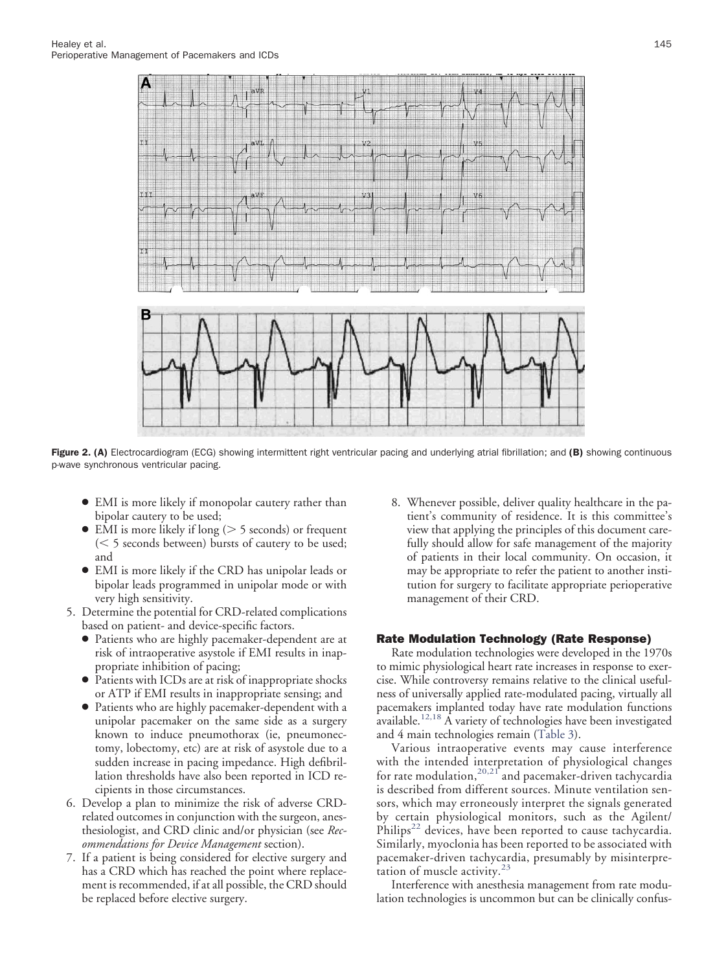

Figure 2. (A) Electrocardiogram (ECG) showing intermittent right ventricular pacing and underlying atrial fibrillation; and (B) showing continuous p-wave synchronous ventricular pacing.

- EMI is more likely if monopolar cautery rather than bipolar cautery to be used;
- $\bullet$  EMI is more likely if long ( $> 5$  seconds) or frequent (< 5 seconds between) bursts of cautery to be used; and
- EMI is more likely if the CRD has unipolar leads or bipolar leads programmed in unipolar mode or with very high sensitivity.
- 5. Determine the potential for CRD-related complications based on patient- and device-specific factors.
	- Patients who are highly pacemaker-dependent are at risk of intraoperative asystole if EMI results in inappropriate inhibition of pacing;
	- Patients with ICDs are at risk of inappropriate shocks or ATP if EMI results in inappropriate sensing; and
	- Patients who are highly pacemaker-dependent with a unipolar pacemaker on the same side as a surgery known to induce pneumothorax (ie, pneumonectomy, lobectomy, etc) are at risk of asystole due to a sudden increase in pacing impedance. High defibrillation thresholds have also been reported in ICD recipients in those circumstances.
- 6. Develop a plan to minimize the risk of adverse CRDrelated outcomes in conjunction with the surgeon, anesthesiologist, and CRD clinic and/or physician (see *Recommendations for Device Management* section).
- 7. If a patient is being considered for elective surgery and has a CRD which has reached the point where replacement is recommended, if at all possible, the CRD should be replaced before elective surgery.

8. Whenever possible, deliver quality healthcare in the patient's community of residence. It is this committee's view that applying the principles of this document carefully should allow for safe management of the majority of patients in their local community. On occasion, it may be appropriate to refer the patient to another institution for surgery to facilitate appropriate perioperative management of their CRD.

#### Rate Modulation Technology (Rate Response)

Rate modulation technologies were developed in the 1970s to mimic physiological heart rate increases in response to exercise. While controversy remains relative to the clinical usefulness of universally applied rate-modulated pacing, virtually all pacemakers implanted today have rate modulation functions available.<sup>12,18</sup> A variety of technologies have been investigated and 4 main technologies remain (Table 3).

Various intraoperative events may cause interference with the intended interpretation of physiological changes for rate modulation,  $^{20,21^{\circ}}$  and pacemaker-driven tachycardia is described from different sources. Minute ventilation sensors, which may erroneously interpret the signals generated by certain physiological monitors, such as the Agilent/ Philips<sup>22</sup> devices, have been reported to cause tachycardia. Similarly, myoclonia has been reported to be associated with pacemaker-driven tachycardia, presumably by misinterpretation of muscle activity.<sup>23</sup>

Interference with anesthesia management from rate modulation technologies is uncommon but can be clinically confus-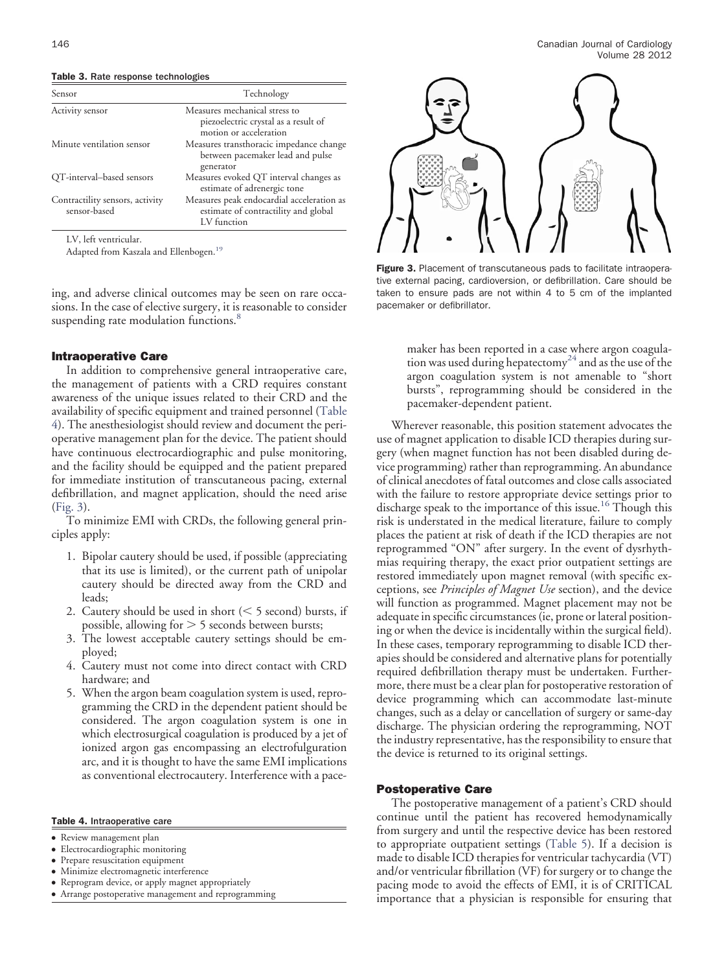| Table 3. Rate response technologies |  |
|-------------------------------------|--|
|-------------------------------------|--|

| Sensor                                          | Technology                                                                                       |  |  |
|-------------------------------------------------|--------------------------------------------------------------------------------------------------|--|--|
| Activity sensor                                 | Measures mechanical stress to<br>piezoelectric crystal as a result of<br>motion or acceleration  |  |  |
| Minute ventilation sensor                       | Measures transthoracic impedance change<br>between pacemaker lead and pulse<br>generator         |  |  |
| QT-interval-based sensors                       | Measures evoked QT interval changes as<br>estimate of adrenergic tone                            |  |  |
| Contractility sensors, activity<br>sensor-based | Measures peak endocardial acceleration as<br>estimate of contractility and global<br>LV function |  |  |

LV, left ventricular.

Adapted from Kaszala and Ellenbogen.<sup>19</sup>

ing, and adverse clinical outcomes may be seen on rare occasions. In the case of elective surgery, it is reasonable to consider suspending rate modulation functions.<sup>8</sup>

## Intraoperative Care

In addition to comprehensive general intraoperative care, the management of patients with a CRD requires constant awareness of the unique issues related to their CRD and the availability of specific equipment and trained personnel (Table 4). The anesthesiologist should review and document the perioperative management plan for the device. The patient should have continuous electrocardiographic and pulse monitoring, and the facility should be equipped and the patient prepared for immediate institution of transcutaneous pacing, external defibrillation, and magnet application, should the need arise (Fig. 3).

To minimize EMI with CRDs, the following general principles apply:

- 1. Bipolar cautery should be used, if possible (appreciating that its use is limited), or the current path of unipolar cautery should be directed away from the CRD and leads;
- 2. Cautery should be used in short  $(< 5$  second) bursts, if possible, allowing for  $> 5$  seconds between bursts;
- 3. The lowest acceptable cautery settings should be employed;
- 4. Cautery must not come into direct contact with CRD hardware; and
- 5. When the argon beam coagulation system is used, reprogramming the CRD in the dependent patient should be considered. The argon coagulation system is one in which electrosurgical coagulation is produced by a jet of ionized argon gas encompassing an electrofulguration arc, and it is thought to have the same EMI implications as conventional electrocautery. Interference with a pace-

Table 4. Intraoperative care

- Review management plan
- Electrocardiographic monitoring
- Prepare resuscitation equipment
- Minimize electromagnetic interference ● Reprogram device, or apply magnet appropriately
- Arrange postoperative management and reprogramming

Figure 3. Placement of transcutaneous pads to facilitate intraoperative external pacing, cardioversion, or defibrillation. Care should be taken to ensure pads are not within 4 to 5 cm of the implanted pacemaker or defibrillator.

maker has been reported in a case where argon coagulation was used during hepatectomy<sup>24</sup> and as the use of the argon coagulation system is not amenable to "short bursts", reprogramming should be considered in the pacemaker-dependent patient.

Wherever reasonable, this position statement advocates the use of magnet application to disable ICD therapies during surgery (when magnet function has not been disabled during device programming) rather than reprogramming. An abundance of clinical anecdotes of fatal outcomes and close calls associated with the failure to restore appropriate device settings prior to discharge speak to the importance of this issue.<sup>16</sup> Though this risk is understated in the medical literature, failure to comply places the patient at risk of death if the ICD therapies are not reprogrammed "ON" after surgery. In the event of dysrhythmias requiring therapy, the exact prior outpatient settings are restored immediately upon magnet removal (with specific exceptions, see *Principles of Magnet Use* section), and the device will function as programmed. Magnet placement may not be adequate in specific circumstances (ie, prone or lateral positioning or when the device is incidentally within the surgical field). In these cases, temporary reprogramming to disable ICD therapies should be considered and alternative plans for potentially required defibrillation therapy must be undertaken. Furthermore, there must be a clear plan for postoperative restoration of device programming which can accommodate last-minute changes, such as a delay or cancellation of surgery or same-day discharge. The physician ordering the reprogramming, NOT the industry representative, has the responsibility to ensure that the device is returned to its original settings.

#### Postoperative Care

The postoperative management of a patient's CRD should continue until the patient has recovered hemodynamically from surgery and until the respective device has been restored to appropriate outpatient settings (Table 5). If a decision is made to disable ICD therapies for ventricular tachycardia (VT) and/or ventricular fibrillation (VF) for surgery or to change the pacing mode to avoid the effects of EMI, it is of CRITICAL importance that a physician is responsible for ensuring that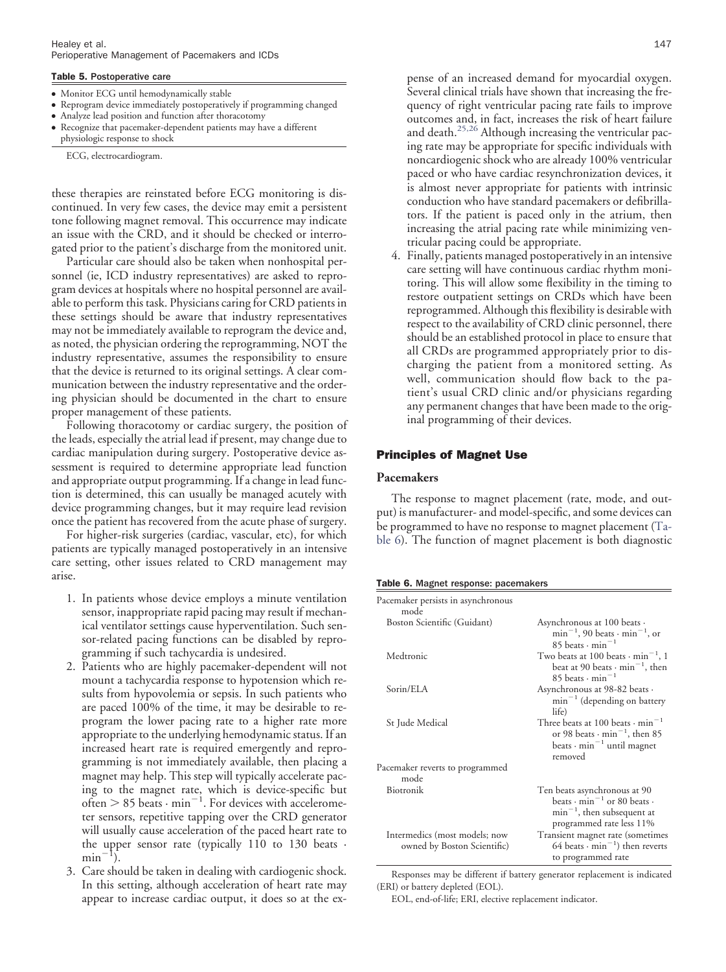#### Table 5. Postoperative care

- Monitor ECG until hemodynamically stable
- Reprogram device immediately postoperatively if programming changed
- Analyze lead position and function after thoracotomy
- Recognize that pacemaker-dependent patients may have a different physiologic response to shock

ECG, electrocardiogram.

these therapies are reinstated before ECG monitoring is discontinued. In very few cases, the device may emit a persistent tone following magnet removal. This occurrence may indicate an issue with the CRD, and it should be checked or interrogated prior to the patient's discharge from the monitored unit.

Particular care should also be taken when nonhospital personnel (ie, ICD industry representatives) are asked to reprogram devices at hospitals where no hospital personnel are available to perform this task. Physicians caring for CRD patients in these settings should be aware that industry representatives may not be immediately available to reprogram the device and, as noted, the physician ordering the reprogramming, NOT the industry representative, assumes the responsibility to ensure that the device is returned to its original settings. A clear communication between the industry representative and the ordering physician should be documented in the chart to ensure proper management of these patients.

Following thoracotomy or cardiac surgery, the position of the leads, especially the atrial lead if present, may change due to cardiac manipulation during surgery. Postoperative device assessment is required to determine appropriate lead function and appropriate output programming. If a change in lead function is determined, this can usually be managed acutely with device programming changes, but it may require lead revision once the patient has recovered from the acute phase of surgery.

For higher-risk surgeries (cardiac, vascular, etc), for which patients are typically managed postoperatively in an intensive care setting, other issues related to CRD management may arise.

- 1. In patients whose device employs a minute ventilation sensor, inappropriate rapid pacing may result if mechanical ventilator settings cause hyperventilation. Such sensor-related pacing functions can be disabled by reprogramming if such tachycardia is undesired.
- 2. Patients who are highly pacemaker-dependent will not mount a tachycardia response to hypotension which results from hypovolemia or sepsis. In such patients who are paced 100% of the time, it may be desirable to reprogram the lower pacing rate to a higher rate more appropriate to the underlying hemodynamic status. If an increased heart rate is required emergently and reprogramming is not immediately available, then placing a magnet may help. This step will typically accelerate pacing to the magnet rate, which is device-specific but often  $> 85$  beats  $\cdot$  min<sup>-1</sup>. For devices with accelerometer sensors, repetitive tapping over the CRD generator will usually cause acceleration of the paced heart rate to the upper sensor rate (typically 110 to 130 beats ·  $\min^{-1}$ ).
- 3. Care should be taken in dealing with cardiogenic shock. In this setting, although acceleration of heart rate may appear to increase cardiac output, it does so at the ex-

pense of an increased demand for myocardial oxygen. Several clinical trials have shown that increasing the frequency of right ventricular pacing rate fails to improve outcomes and, in fact, increases the risk of heart failure and death.25,26 Although increasing the ventricular pacing rate may be appropriate for specific individuals with noncardiogenic shock who are already 100% ventricular paced or who have cardiac resynchronization devices, it is almost never appropriate for patients with intrinsic conduction who have standard pacemakers or defibrillators. If the patient is paced only in the atrium, then increasing the atrial pacing rate while minimizing ventricular pacing could be appropriate.

4. Finally, patients managed postoperatively in an intensive care setting will have continuous cardiac rhythm monitoring. This will allow some flexibility in the timing to restore outpatient settings on CRDs which have been reprogrammed. Although this flexibility is desirable with respect to the availability of CRD clinic personnel, there should be an established protocol in place to ensure that all CRDs are programmed appropriately prior to discharging the patient from a monitored setting. As well, communication should flow back to the patient's usual CRD clinic and/or physicians regarding any permanent changes that have been made to the original programming of their devices.

#### Principles of Magnet Use

#### **Pacemakers**

The response to magnet placement (rate, mode, and output) is manufacturer- and model-specific, and some devices can be programmed to have no response to magnet placement (Table 6). The function of magnet placement is both diagnostic

|  |  |  |  | Table 6. Magnet response: pacemakers |
|--|--|--|--|--------------------------------------|
|--|--|--|--|--------------------------------------|

| Pacemaker persists in asynchronous<br>mode                   |                                                                                                                                                                  |
|--------------------------------------------------------------|------------------------------------------------------------------------------------------------------------------------------------------------------------------|
| Boston Scientific (Guidant)                                  | Asynchronous at 100 beats .<br>$\min^{-1}$ , 90 beats $\cdot$ min <sup>-1</sup> , or<br>85 beats $\cdot$ min <sup>-1</sup>                                       |
| Medtronic                                                    | Two beats at 100 beats $\cdot$ min <sup>-1</sup> , 1<br>beat at 90 beats $\cdot$ min <sup>-1</sup> , then<br>85 beats $\cdot$ min <sup>-1</sup>                  |
| Sorin/ELA                                                    | Asynchronous at 98-82 beats .<br>$min^{-1}$ (depending on battery<br>life)                                                                                       |
| St Jude Medical                                              | Three beats at 100 beats $\cdot$ min <sup>-1</sup><br>or 98 beats $\cdot$ min <sup>-1</sup> , then 85<br>beats $\cdot$ min <sup>-1</sup> until magnet<br>removed |
| Pacemaker reverts to programmed<br>mode                      |                                                                                                                                                                  |
| Biotronik                                                    | Ten beats asynchronous at 90<br>beats $\cdot$ min <sup>-1</sup> or 80 beats $\cdot$<br>$min^{-1}$ , then subsequent at<br>programmed rate less 11%               |
| Intermedics (most models; now<br>owned by Boston Scientific) | Transient magnet rate (sometimes<br>64 beats $\cdot$ min <sup>-1</sup> ) then reverts<br>to programmed rate                                                      |

Responses may be different if battery generator replacement is indicated (ERI) or battery depleted (EOL).

EOL, end-of-life; ERI, elective replacement indicator.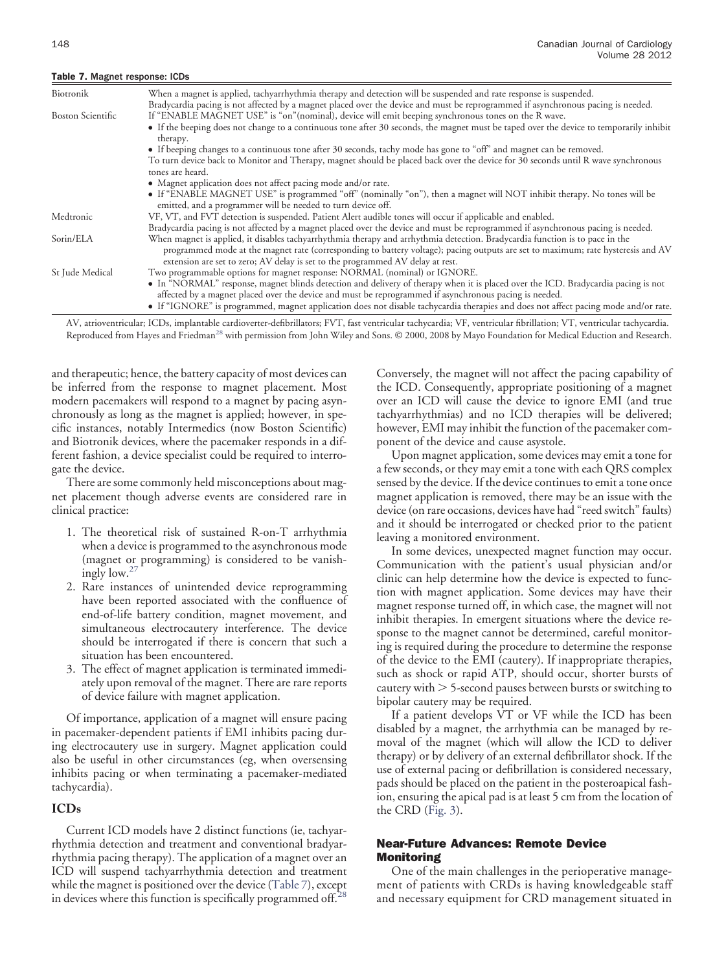#### Table 7. Magnet response: ICDs

| Biotronik                | When a magnet is applied, tachyarrhythmia therapy and detection will be suspended and rate response is suspended.<br>Bradycardia pacing is not affected by a magnet placed over the device and must be reprogrammed if asynchronous pacing is needed. |
|--------------------------|-------------------------------------------------------------------------------------------------------------------------------------------------------------------------------------------------------------------------------------------------------|
| <b>Boston Scientific</b> | If "ENABLE MAGNET USE" is "on" (nominal), device will emit beeping synchronous tones on the R wave.                                                                                                                                                   |
|                          | • If the beeping does not change to a continuous tone after 30 seconds, the magnet must be taped over the device to temporarily inhibit<br>therapy.                                                                                                   |
|                          | • If beeping changes to a continuous tone after 30 seconds, tachy mode has gone to "off" and magnet can be removed.                                                                                                                                   |
|                          | To turn device back to Monitor and Therapy, magnet should be placed back over the device for 30 seconds until R wave synchronous                                                                                                                      |
|                          | tones are heard.                                                                                                                                                                                                                                      |
|                          | • Magnet application does not affect pacing mode and/or rate.                                                                                                                                                                                         |
|                          | • If "ENABLE MAGNET USE" is programmed "off" (nominally "on"), then a magnet will NOT inhibit therapy. No tones will be<br>emitted, and a programmer will be needed to turn device off.                                                               |
| Medtronic                | VF, VT, and FVT detection is suspended. Patient Alert audible tones will occur if applicable and enabled.                                                                                                                                             |
|                          | Bradycardia pacing is not affected by a magnet placed over the device and must be reprogrammed if asynchronous pacing is needed.                                                                                                                      |
| Sorin/ELA                | When magnet is applied, it disables tachyarrhythmia therapy and arrhythmia detection. Bradycardia function is to pace in the                                                                                                                          |
|                          | programmed mode at the magnet rate (corresponding to battery voltage); pacing outputs are set to maximum; rate hysteresis and AV<br>extension are set to zero; AV delay is set to the programmed AV delay at rest.                                    |
| St Jude Medical          | Two programmable options for magnet response: NORMAL (nominal) or IGNORE.                                                                                                                                                                             |
|                          | • In "NORMAL" response, magnet blinds detection and delivery of therapy when it is placed over the ICD. Bradycardia pacing is not<br>affected by a magnet placed over the device and must be reprogrammed if asynchronous pacing is needed.           |
|                          | • If "IGNORE" is programmed, magnet application does not disable tachycardia therapies and does not affect pacing mode and/or rate.                                                                                                                   |

AV, atrioventricular; ICDs, implantable cardioverter-defibrillators; FVT, fast ventricular tachycardia; VF, ventricular fibrillation; VT, ventricular tachycardia. Reproduced from Hayes and Friedman<sup>28</sup> with permission from John Wiley and Sons. © 2000, 2008 by Mayo Foundation for Medical Eduction and Research.

and therapeutic; hence, the battery capacity of most devices can be inferred from the response to magnet placement. Most modern pacemakers will respond to a magnet by pacing asynchronously as long as the magnet is applied; however, in specific instances, notably Intermedics (now Boston Scientific) and Biotronik devices, where the pacemaker responds in a different fashion, a device specialist could be required to interrogate the device.

There are some commonly held misconceptions about magnet placement though adverse events are considered rare in clinical practice:

- 1. The theoretical risk of sustained R-on-T arrhythmia when a device is programmed to the asynchronous mode (magnet or programming) is considered to be vanishingly low.<sup>27</sup>
- 2. Rare instances of unintended device reprogramming have been reported associated with the confluence of end-of-life battery condition, magnet movement, and simultaneous electrocautery interference. The device should be interrogated if there is concern that such a situation has been encountered.
- 3. The effect of magnet application is terminated immediately upon removal of the magnet. There are rare reports of device failure with magnet application.

Of importance, application of a magnet will ensure pacing in pacemaker-dependent patients if EMI inhibits pacing during electrocautery use in surgery. Magnet application could also be useful in other circumstances (eg, when oversensing inhibits pacing or when terminating a pacemaker-mediated tachycardia).

# **ICDs**

Current ICD models have 2 distinct functions (ie, tachyarrhythmia detection and treatment and conventional bradyarrhythmia pacing therapy). The application of a magnet over an ICD will suspend tachyarrhythmia detection and treatment while the magnet is positioned over the device (Table 7), except in devices where this function is specifically programmed off.<sup>28</sup>

Conversely, the magnet will not affect the pacing capability of the ICD. Consequently, appropriate positioning of a magnet over an ICD will cause the device to ignore EMI (and true tachyarrhythmias) and no ICD therapies will be delivered; however, EMI may inhibit the function of the pacemaker component of the device and cause asystole.

Upon magnet application, some devices may emit a tone for a few seconds, or they may emit a tone with each QRS complex sensed by the device. If the device continues to emit a tone once magnet application is removed, there may be an issue with the device (on rare occasions, devices have had "reed switch" faults) and it should be interrogated or checked prior to the patient leaving a monitored environment.

In some devices, unexpected magnet function may occur. Communication with the patient's usual physician and/or clinic can help determine how the device is expected to function with magnet application. Some devices may have their magnet response turned off, in which case, the magnet will not inhibit therapies. In emergent situations where the device response to the magnet cannot be determined, careful monitoring is required during the procedure to determine the response of the device to the EMI (cautery). If inappropriate therapies, such as shock or rapid ATP, should occur, shorter bursts of cautery with  $> 5$ -second pauses between bursts or switching to bipolar cautery may be required.

If a patient develops VT or VF while the ICD has been disabled by a magnet, the arrhythmia can be managed by removal of the magnet (which will allow the ICD to deliver therapy) or by delivery of an external defibrillator shock. If the use of external pacing or defibrillation is considered necessary, pads should be placed on the patient in the posteroapical fashion, ensuring the apical pad is at least 5 cm from the location of the CRD (Fig. 3).

# Near-Future Advances: Remote Device **Monitoring**

One of the main challenges in the perioperative management of patients with CRDs is having knowledgeable staff and necessary equipment for CRD management situated in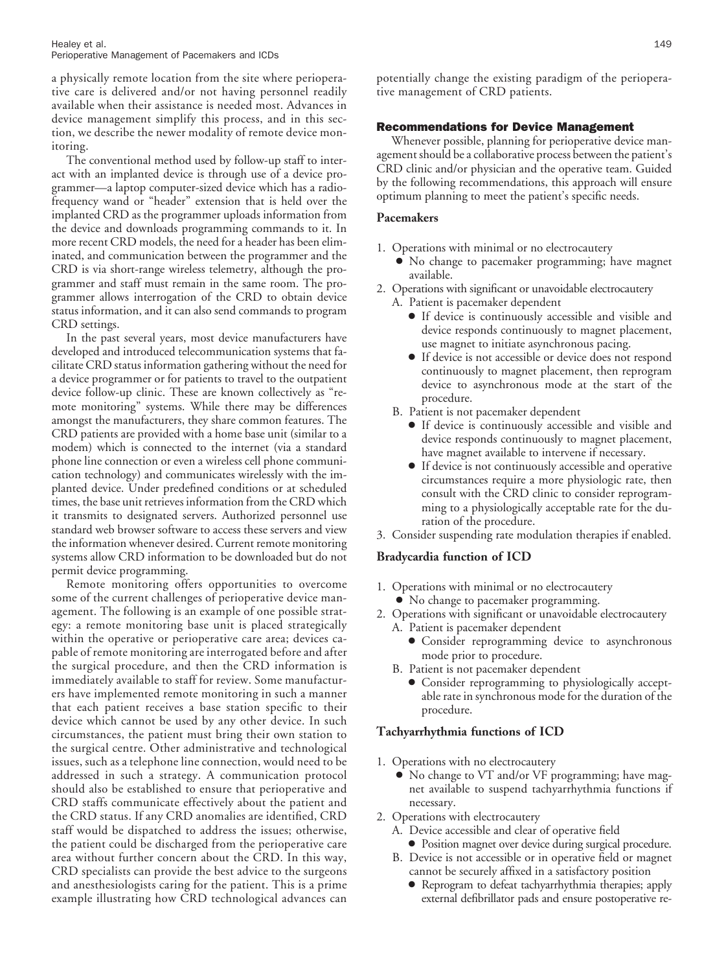a physically remote location from the site where perioperative care is delivered and/or not having personnel readily available when their assistance is needed most. Advances in device management simplify this process, and in this section, we describe the newer modality of remote device monitoring.

The conventional method used by follow-up staff to interact with an implanted device is through use of a device programmer—a laptop computer-sized device which has a radiofrequency wand or "header" extension that is held over the implanted CRD as the programmer uploads information from the device and downloads programming commands to it. In more recent CRD models, the need for a header has been eliminated, and communication between the programmer and the CRD is via short-range wireless telemetry, although the programmer and staff must remain in the same room. The programmer allows interrogation of the CRD to obtain device status information, and it can also send commands to program CRD settings.

In the past several years, most device manufacturers have developed and introduced telecommunication systems that facilitate CRD status information gathering without the need for a device programmer or for patients to travel to the outpatient device follow-up clinic. These are known collectively as "remote monitoring" systems. While there may be differences amongst the manufacturers, they share common features. The CRD patients are provided with a home base unit (similar to a modem) which is connected to the internet (via a standard phone line connection or even a wireless cell phone communication technology) and communicates wirelessly with the implanted device. Under predefined conditions or at scheduled times, the base unit retrieves information from the CRD which it transmits to designated servers. Authorized personnel use standard web browser software to access these servers and view the information whenever desired. Current remote monitoring systems allow CRD information to be downloaded but do not permit device programming.

Remote monitoring offers opportunities to overcome some of the current challenges of perioperative device management. The following is an example of one possible strategy: a remote monitoring base unit is placed strategically within the operative or perioperative care area; devices capable of remote monitoring are interrogated before and after the surgical procedure, and then the CRD information is immediately available to staff for review. Some manufacturers have implemented remote monitoring in such a manner that each patient receives a base station specific to their device which cannot be used by any other device. In such circumstances, the patient must bring their own station to the surgical centre. Other administrative and technological issues, such as a telephone line connection, would need to be addressed in such a strategy. A communication protocol should also be established to ensure that perioperative and CRD staffs communicate effectively about the patient and the CRD status. If any CRD anomalies are identified, CRD staff would be dispatched to address the issues; otherwise, the patient could be discharged from the perioperative care area without further concern about the CRD. In this way, CRD specialists can provide the best advice to the surgeons and anesthesiologists caring for the patient. This is a prime example illustrating how CRD technological advances can

potentially change the existing paradigm of the perioperative management of CRD patients.

## Recommendations for Device Management

Whenever possible, planning for perioperative device management should be a collaborative process between the patient's CRD clinic and/or physician and the operative team. Guided by the following recommendations, this approach will ensure optimum planning to meet the patient's specific needs.

## **Pacemakers**

- 1. Operations with minimal or no electrocautery
	- No change to pacemaker programming; have magnet available.
- 2. Operations with significant or unavoidable electrocautery A. Patient is pacemaker dependent
	- If device is continuously accessible and visible and device responds continuously to magnet placement, use magnet to initiate asynchronous pacing.
	- If device is not accessible or device does not respond continuously to magnet placement, then reprogram device to asynchronous mode at the start of the procedure.
	- B. Patient is not pacemaker dependent
		- If device is continuously accessible and visible and device responds continuously to magnet placement, have magnet available to intervene if necessary.
		- If device is not continuously accessible and operative circumstances require a more physiologic rate, then consult with the CRD clinic to consider reprogramming to a physiologically acceptable rate for the duration of the procedure.
- 3. Consider suspending rate modulation therapies if enabled.

#### **Bradycardia function of ICD**

- 1. Operations with minimal or no electrocautery ● No change to pacemaker programming.
- 2. Operations with significant or unavoidable electrocautery
	- A. Patient is pacemaker dependent
		- Consider reprogramming device to asynchronous mode prior to procedure.
	- B. Patient is not pacemaker dependent
		- Consider reprogramming to physiologically acceptable rate in synchronous mode for the duration of the procedure.

#### **Tachyarrhythmia functions of ICD**

- 1. Operations with no electrocautery
	- No change to VT and/or VF programming; have magnet available to suspend tachyarrhythmia functions if necessary.
- 2. Operations with electrocautery
	- A. Device accessible and clear of operative field ● Position magnet over device during surgical procedure.
	- B. Device is not accessible or in operative field or magnet cannot be securely affixed in a satisfactory position
		- Reprogram to defeat tachyarrhythmia therapies; apply external defibrillator pads and ensure postoperative re-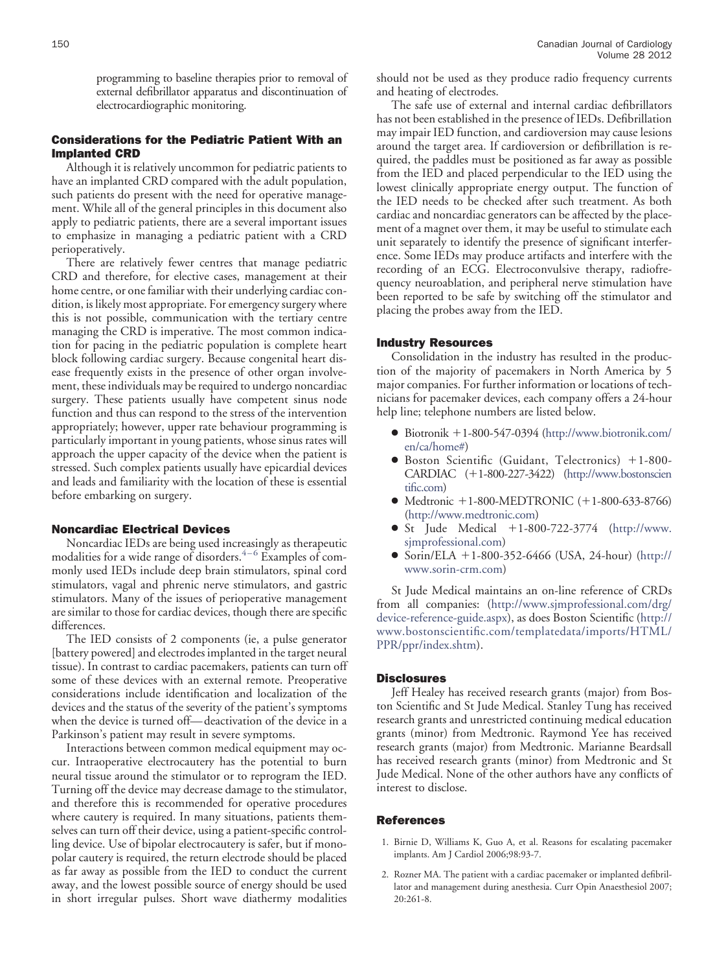programming to baseline therapies prior to removal of external defibrillator apparatus and discontinuation of electrocardiographic monitoring.

# Considerations for the Pediatric Patient With an Implanted CRD

Although it is relatively uncommon for pediatric patients to have an implanted CRD compared with the adult population, such patients do present with the need for operative management. While all of the general principles in this document also apply to pediatric patients, there are a several important issues to emphasize in managing a pediatric patient with a CRD perioperatively.

There are relatively fewer centres that manage pediatric CRD and therefore, for elective cases, management at their home centre, or one familiar with their underlying cardiac condition, is likely most appropriate. For emergency surgery where this is not possible, communication with the tertiary centre managing the CRD is imperative. The most common indication for pacing in the pediatric population is complete heart block following cardiac surgery. Because congenital heart disease frequently exists in the presence of other organ involvement, these individuals may be required to undergo noncardiac surgery. These patients usually have competent sinus node function and thus can respond to the stress of the intervention appropriately; however, upper rate behaviour programming is particularly important in young patients, whose sinus rates will approach the upper capacity of the device when the patient is stressed. Such complex patients usually have epicardial devices and leads and familiarity with the location of these is essential before embarking on surgery.

# Noncardiac Electrical Devices

Noncardiac IEDs are being used increasingly as therapeutic modalities for a wide range of disorders.  $4-6$  Examples of commonly used IEDs include deep brain stimulators, spinal cord stimulators, vagal and phrenic nerve stimulators, and gastric stimulators. Many of the issues of perioperative management are similar to those for cardiac devices, though there are specific differences.

The IED consists of 2 components (ie, a pulse generator [battery powered] and electrodes implanted in the target neural tissue). In contrast to cardiac pacemakers, patients can turn off some of these devices with an external remote. Preoperative considerations include identification and localization of the devices and the status of the severity of the patient's symptoms when the device is turned off—deactivation of the device in a Parkinson's patient may result in severe symptoms.

Interactions between common medical equipment may occur. Intraoperative electrocautery has the potential to burn neural tissue around the stimulator or to reprogram the IED. Turning off the device may decrease damage to the stimulator, and therefore this is recommended for operative procedures where cautery is required. In many situations, patients themselves can turn off their device, using a patient-specific controlling device. Use of bipolar electrocautery is safer, but if monopolar cautery is required, the return electrode should be placed as far away as possible from the IED to conduct the current away, and the lowest possible source of energy should be used in short irregular pulses. Short wave diathermy modalities should not be used as they produce radio frequency currents and heating of electrodes.

The safe use of external and internal cardiac defibrillators has not been established in the presence of IEDs. Defibrillation may impair IED function, and cardioversion may cause lesions around the target area. If cardioversion or defibrillation is required, the paddles must be positioned as far away as possible from the IED and placed perpendicular to the IED using the lowest clinically appropriate energy output. The function of the IED needs to be checked after such treatment. As both cardiac and noncardiac generators can be affected by the placement of a magnet over them, it may be useful to stimulate each unit separately to identify the presence of significant interference. Some IEDs may produce artifacts and interfere with the recording of an ECG. Electroconvulsive therapy, radiofrequency neuroablation, and peripheral nerve stimulation have been reported to be safe by switching off the stimulator and placing the probes away from the IED.

## Industry Resources

Consolidation in the industry has resulted in the production of the majority of pacemakers in North America by 5 major companies. For further information or locations of technicians for pacemaker devices, each company offers a 24-hour help line; telephone numbers are listed below.

- $\bullet$  Biotronik +1-800-547-0394 [\(http://www.biotronik.com/](http://www.biotronik.com/en/ca/home%23) [en/ca/home#\)](http://www.biotronik.com/en/ca/home%23)
- Boston Scientific (Guidant, Telectronics) 1-800- CARDIAC (+1-800-227-3422) [\(http://www.bostonscien](http://www.bostonscientific.com) [tific.com\)](http://www.bostonscientific.com)
- Medtronic  $+1-800$ -MEDTRONIC  $(+1-800-633-8766)$ [\(http://www.medtronic.com\)](http://www.medtronic.com)
- $\bullet$  St Jude Medical  $+1-800-722-3774$  [\(http://www.](http://www.sjmprofessional.com) [sjmprofessional.com\)](http://www.sjmprofessional.com)
- Sorin/ELA  $+1-800-352-6466$  (USA, 24-hour) [\(http://](http://www.sorin-crm.com) [www.sorin-crm.com\)](http://www.sorin-crm.com)

St Jude Medical maintains an on-line reference of CRDs from all companies: [\(http://www.sjmprofessional.com/drg/](http://www.sjmprofessional.com/drg/device-reference-guide.aspx) [device-reference-guide.aspx\)](http://www.sjmprofessional.com/drg/device-reference-guide.aspx), as does Boston Scientific [\(http://](http://www.bostonscientific.com/templatedata/imports/HTML/PPR/ppr/index.shtm) [www.bostonscientific.com/templatedata/imports/HTML/](http://www.bostonscientific.com/templatedata/imports/HTML/PPR/ppr/index.shtm) [PPR/ppr/index.shtm\)](http://www.bostonscientific.com/templatedata/imports/HTML/PPR/ppr/index.shtm).

#### **Disclosures**

Jeff Healey has received research grants (major) from Boston Scientific and St Jude Medical. Stanley Tung has received research grants and unrestricted continuing medical education grants (minor) from Medtronic. Raymond Yee has received research grants (major) from Medtronic. Marianne Beardsall has received research grants (minor) from Medtronic and St Jude Medical. None of the other authors have any conflicts of interest to disclose.

## **References**

- 1. Birnie D, Williams K, Guo A, et al. Reasons for escalating pacemaker implants. Am J Cardiol 2006;98:93-7.
- 2. Rozner MA. The patient with a cardiac pacemaker or implanted defibrillator and management during anesthesia. Curr Opin Anaesthesiol 2007; 20:261-8.